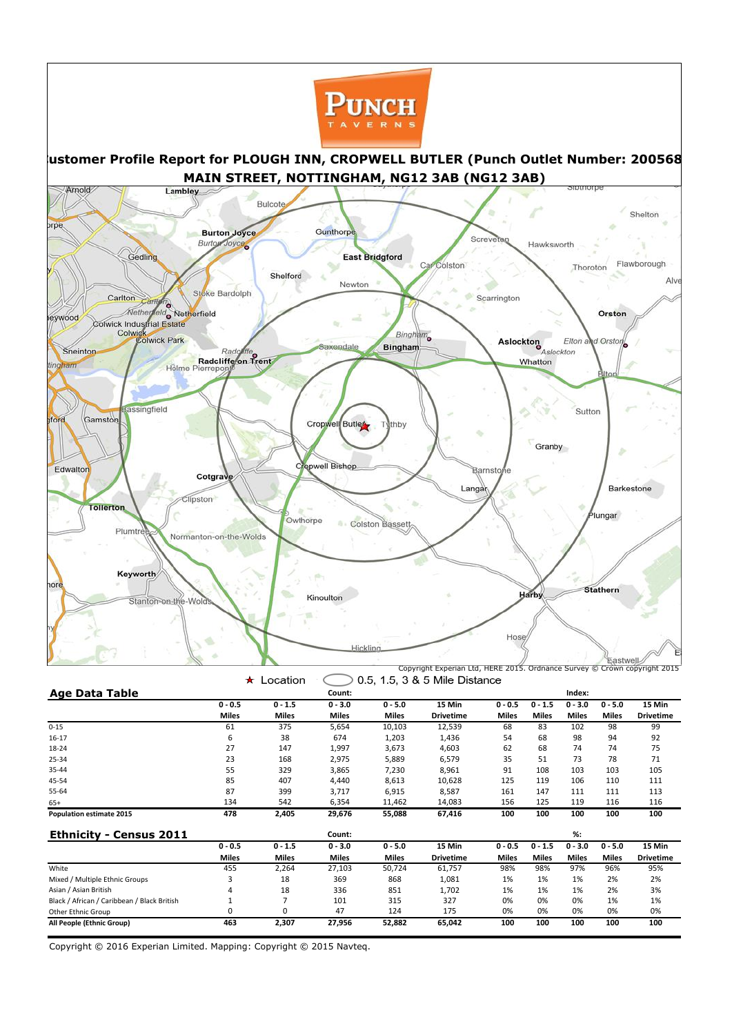

|                                             | ★            | Location     |              |              | 0.5, 1.5, 3 & 5 Mile Distance |              |              |              |              |                  |
|---------------------------------------------|--------------|--------------|--------------|--------------|-------------------------------|--------------|--------------|--------------|--------------|------------------|
| <b>Age Data Table</b>                       |              |              | Count:       |              |                               |              |              | Index:       |              |                  |
|                                             | $0 - 0.5$    | $0 - 1.5$    | $0 - 3.0$    | $0 - 5.0$    | 15 Min                        | $0 - 0.5$    | $0 - 1.5$    | $0 - 3.0$    | $0 - 5.0$    | 15 Min           |
|                                             | <b>Miles</b> | <b>Miles</b> | <b>Miles</b> | <b>Miles</b> | <b>Drivetime</b>              | <b>Miles</b> | <b>Miles</b> | <b>Miles</b> | <b>Miles</b> | <b>Drivetime</b> |
| $0 - 15$                                    | 61           | 375          | 5,654        | 10,103       | 12,539                        | 68           | 83           | 102          | 98           | 99               |
| $16-17$                                     | 6            | 38           | 674          | 1,203        | 1,436                         | 54           | 68           | 98           | 94           | 92               |
| 18-24                                       | 27           | 147          | 1,997        | 3,673        | 4,603                         | 62           | 68           | 74           | 74           | 75               |
| 25-34                                       | 23           | 168          | 2,975        | 5,889        | 6,579                         | 35           | 51           | 73           | 78           | 71               |
| 35-44                                       | 55           | 329          | 3,865        | 7,230        | 8,961                         | 91           | 108          | 103          | 103          | 105              |
| 45-54                                       | 85           | 407          | 4,440        | 8,613        | 10,628                        | 125          | 119          | 106          | 110          | 111              |
| 55-64                                       | 87           | 399          | 3,717        | 6,915        | 8,587                         | 161          | 147          | 111          | 111          | 113              |
| $65+$                                       | 134          | 542          | 6,354        | 11,462       | 14,083                        | 156          | 125          | 119          | 116          | 116              |
| <b>Population estimate 2015</b>             | 478          | 2,405        | 29,676       | 55,088       | 67,416                        | 100          | 100          | 100          | 100          | 100              |
| <b>Ethnicity - Census 2011</b>              |              |              | Count:       |              |                               |              |              | $\%$ :       |              |                  |
|                                             | $0 - 0.5$    | $0 - 1.5$    | $0 - 3.0$    | $0 - 5.0$    | 15 Min                        | $0 - 0.5$    | $0 - 1.5$    | $0 - 3.0$    | $0 - 5.0$    | 15 Min           |
|                                             | <b>Miles</b> | <b>Miles</b> | <b>Miles</b> | <b>Miles</b> | <b>Drivetime</b>              | <b>Miles</b> | <b>Miles</b> | <b>Miles</b> | <b>Miles</b> | <b>Drivetime</b> |
| White                                       | 455          | 2,264        | 27,103       | 50,724       | 61,757                        | 98%          | 98%          | 97%          | 96%          | 95%              |
| Mixed / Multiple Ethnic Groups              |              | 18           | 369          | 868          | 1,081                         | 1%           | 1%           | 1%           | 2%           | 2%               |
| Asian / Asian British                       |              | 18           | 336          | 851          | 1,702                         | 1%           | 1%           | 1%           | 2%           | 3%               |
| Black / African / Caribbean / Black British |              |              | 101          | 315          | 327                           | 0%           | 0%           | 0%           | 1%           | 1%               |
| Other Ethnic Group                          | 0            | 0            | 47           | 124          | 175                           | 0%           | 0%           | 0%           | 0%           | 0%               |
| All People (Ethnic Group)                   | 463          | 2,307        | 27,956       | 52,882       | 65,042                        | 100          | 100          | 100          | 100          | 100              |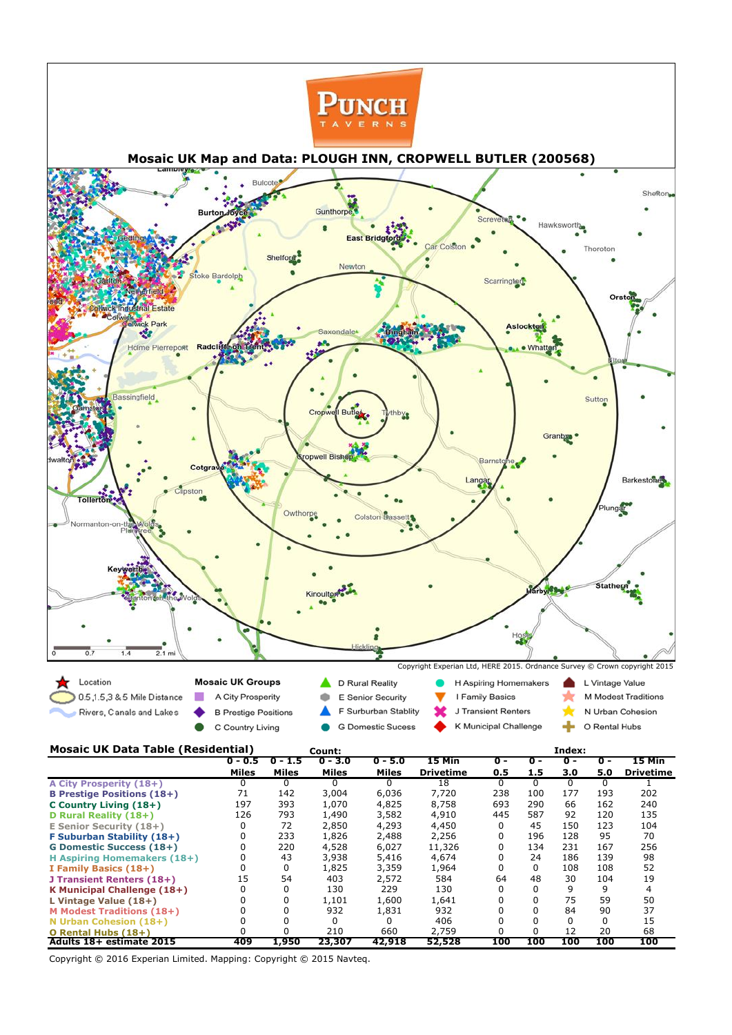| A City Prosperity (18+)            |            |       |        |        | 18     |     | 0        |     |     |            |
|------------------------------------|------------|-------|--------|--------|--------|-----|----------|-----|-----|------------|
| <b>B Prestige Positions (18+)</b>  | 71         | 142   | 3,004  | 6,036  | 7,720  | 238 | 100      | 177 | 193 | 202        |
| <b>C Country Living (18+)</b>      | 197        | 393   | 1,070  | 4,825  | 8,758  | 693 | 290      | 66  | 162 | 240        |
| D Rural Reality (18+)              | 126        | 793   | 1,490  | 3,582  | 4,910  | 445 | 587      | 92  | 120 | 135        |
| <b>E Senior Security (18+)</b>     |            | 72    | 2,850  | 4,293  | 4,450  | 0   | 45       | 150 | 123 | 104        |
| <b>F Suburban Stability (18+)</b>  |            | 233   | 1,826  | 2,488  | 2,256  | 0   | 196      | 128 | 95  | 70         |
| <b>G Domestic Success (18+)</b>    |            | 220   | 4,528  | 6,027  | 11,326 | 0   | 134      | 231 | 167 | 256        |
| <b>H Aspiring Homemakers (18+)</b> |            | 43    | 3,938  | 5,416  | 4,674  |     | 24       | 186 | 139 | 98         |
| I Family Basics (18+)              |            | 0     | 1,825  | 3,359  | 1,964  |     | 0        | 108 | 108 | 52         |
| J Transient Renters (18+)          | 15         | 54    | 403    | 2,572  | 584    | 64  | 48       | 30  | 104 | 19         |
| K Municipal Challenge (18+)        |            |       | 130    | 229    | 130    |     | 0        | 9   | 9   |            |
| L Vintage Value (18+)              |            |       | 1,101  | 1,600  | 1,641  |     | 0        | 75  | 59  | 50         |
| <b>M Modest Traditions (18+)</b>   |            |       | 932    | 1,831  | 932    |     | 0        | 84  | 90  | 37         |
| N Urban Cohesion $(18+)$           |            |       |        |        | 406    |     | $\Omega$ | 0   |     | 15         |
| O Rental Hubs (18+)                |            |       | 210    | 660    | 2,759  |     | 0        | 12  | 20  | 68         |
| Adults 18+ estimate 2015           | <b>409</b> | 1,950 | 23,307 | 42,918 | 52,528 | 100 | 100      | 100 | 100 | <b>100</b> |

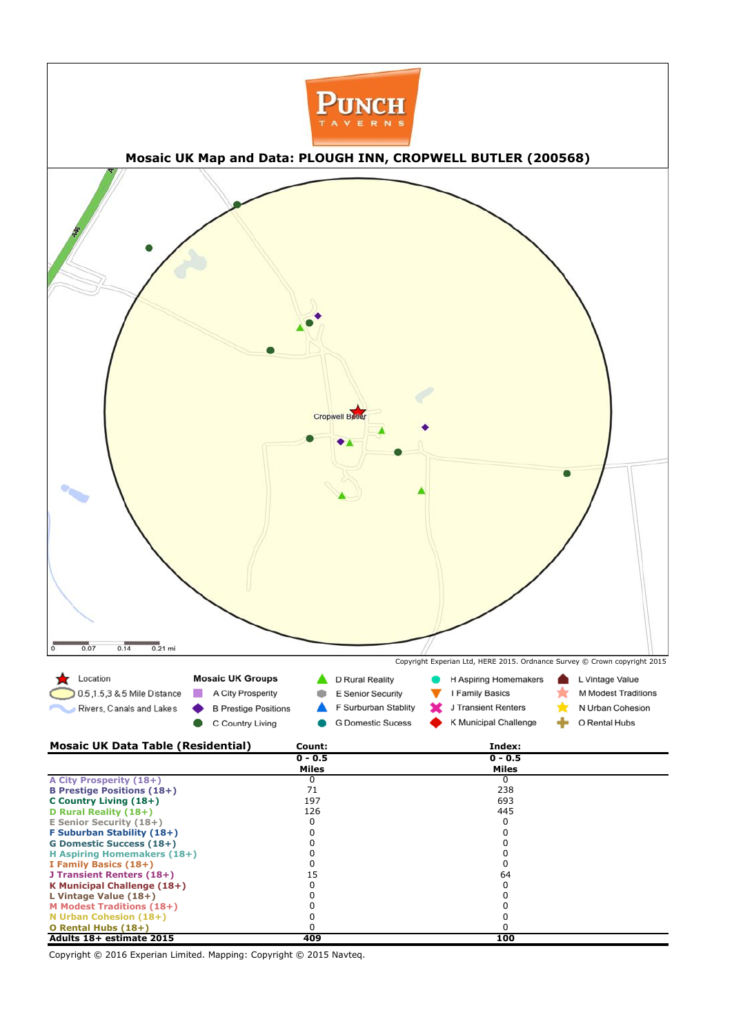| Adults 18+ estimate 2015           | 409 | 100 |  |
|------------------------------------|-----|-----|--|
| O Rental Hubs (18+)                |     |     |  |
| N Urban Cohesion (18+)             |     |     |  |
| <b>M Modest Traditions (18+)</b>   |     |     |  |
| L Vintage Value (18+)              |     |     |  |
| <b>K Municipal Challenge (18+)</b> |     |     |  |
| J Transient Renters (18+)          |     | 64  |  |
| I Family Basics (18+)              |     |     |  |
| <b>H Aspiring Homemakers (18+)</b> |     |     |  |
| <b>G Domestic Success (18+)</b>    |     |     |  |
| <b>F Suburban Stability (18+)</b>  |     |     |  |
| <b>E Senior Security (18+)</b>     |     |     |  |
| D Rural Reality (18+)              | 126 | 445 |  |
| C Country Living (18+)             | 197 | 693 |  |
| <b>B Prestige Positions (18+)</b>  | 71  | 238 |  |
| $\sim$ City 1103 pc. Ity (101)     |     |     |  |

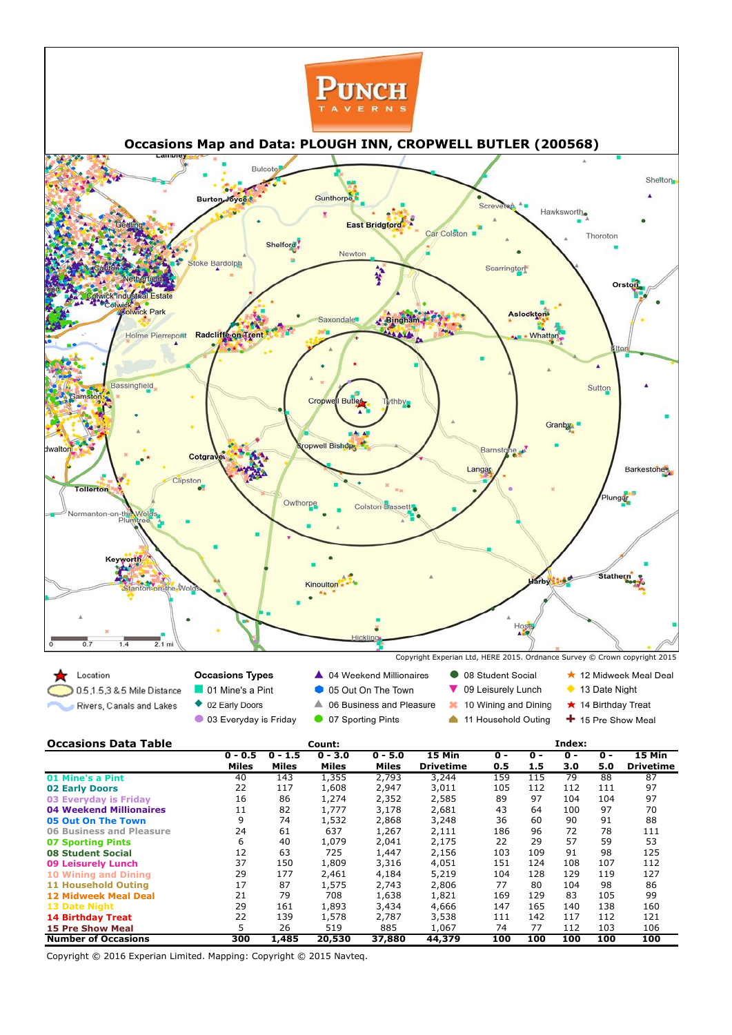| <b>Number of Occasions</b>      | 300 | 1,485 | 20,530 | 37,880 | 44,379 | 100 | 100 | 100 | 100 | <b>100</b> |
|---------------------------------|-----|-------|--------|--------|--------|-----|-----|-----|-----|------------|
| <b>15 Pre Show Meal</b>         |     | 26    | 519    | 885    | 1,067  | 74  | 77  | 112 | 103 | 106        |
| <b>14 Birthday Treat</b>        | 22  | 139   | 1,578  | 2,787  | 3,538  | 111 | 142 | 117 | 112 | 121        |
| <b>13 Date Night</b>            | 29  | 161   | 1,893  | 3,434  | 4,666  | 147 | 165 | 140 | 138 | 160        |
| <b>12 Midweek Meal Deal</b>     | 21  | 79    | 708    | 1,638  | 1,821  | 169 | 129 | 83  | 105 | 99         |
| <b>11 Household Outing</b>      | 17  | 87    | 1,575  | 2,743  | 2,806  | 77  | 80  | 104 | 98  | 86         |
| <b>10 Wining and Dining</b>     | 29  | 177   | 2,461  | 4,184  | 5,219  | 104 | 128 | 129 | 119 | 127        |
| <b>09 Leisurely Lunch</b>       | 37  | 150   | 1,809  | 3,316  | 4,051  | 151 | 124 | 108 | 107 | 112        |
| <b>08 Student Social</b>        | 12  | 63    | 725    | 1,447  | 2,156  | 103 | 109 | 91  | 98  | 125        |
| <b>07 Sporting Pints</b>        | 6   | 40    | 1,079  | 2,041  | 2,175  | 22  | 29  | 57  | 59  | 53         |
| <b>06 Business and Pleasure</b> | 24  | 61    | 637    | 1,267  | 2,111  | 186 | 96  | 72  | 78  | 111        |
| 05 Out On The Town              | 9   | 74    | 1,532  | 2,868  | 3,248  | 36  | 60  | 90  | 91  | 88         |
| <b>04 Weekend Millionaires</b>  | 11  | 82    | 1,777  | 3,178  | 2,681  | 43  | 64  | 100 | 97  | 70         |
| 03 Everyday is Friday           | 16  | 86    | 1,274  | 2,352  | 2,585  | 89  | 97  | 104 | 104 | 97         |
| <b>02 Early Doors</b>           | 22  | 117   | 1,608  | 2,947  | 3,011  | 105 | 112 | 112 | 111 | 97         |

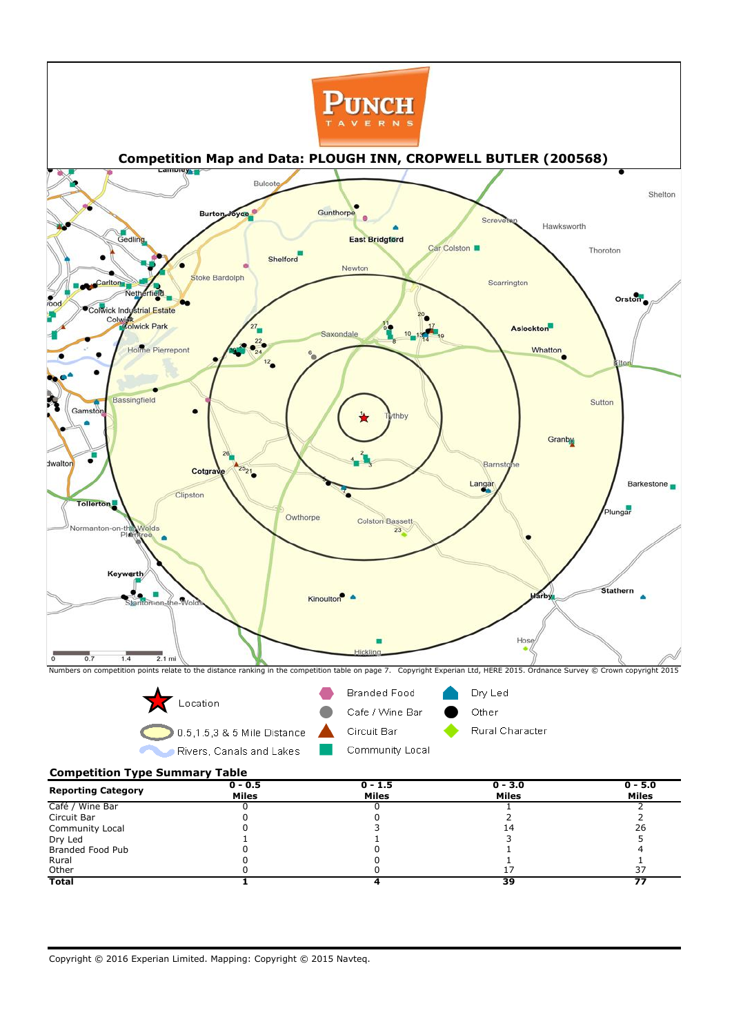**Competition Type Summary Table**



|                           | $0 - 0.5$    | $0 - 1.5$    | $0 - 3.0$    | $0 - 5.0$    |
|---------------------------|--------------|--------------|--------------|--------------|
| <b>Reporting Category</b> | <b>Miles</b> | <b>Miles</b> | <b>Miles</b> | <b>Miles</b> |
| Café / Wine Bar           |              |              |              |              |
| Circuit Bar               |              |              |              |              |
| <b>Community Local</b>    |              |              | 14           | 26           |
| Dry Led                   |              |              |              |              |
| <b>Branded Food Pub</b>   |              |              |              |              |
| Rural                     |              |              |              |              |
| Other                     |              |              |              |              |
| <b>Total</b>              |              |              | 39           | -            |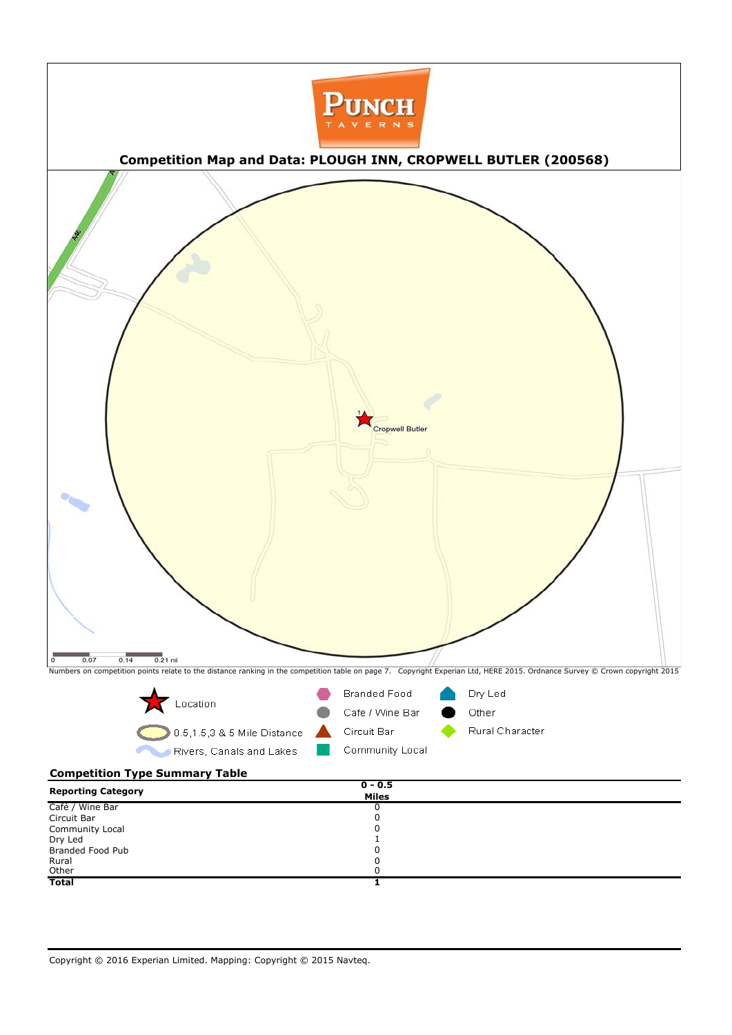## **Competition Type Summary Table**



| <b>Reporting Category</b> | $0 - 0.5$    |  |
|---------------------------|--------------|--|
|                           | <b>Miles</b> |  |
| Café / Wine Bar           | U            |  |
| Circuit Bar               | U            |  |
| Community Local           | υ            |  |
| Dry Led                   |              |  |
| Branded Food Pub          | υ            |  |
| Rural                     |              |  |
| Other                     | 0            |  |
| <b>Total</b>              |              |  |